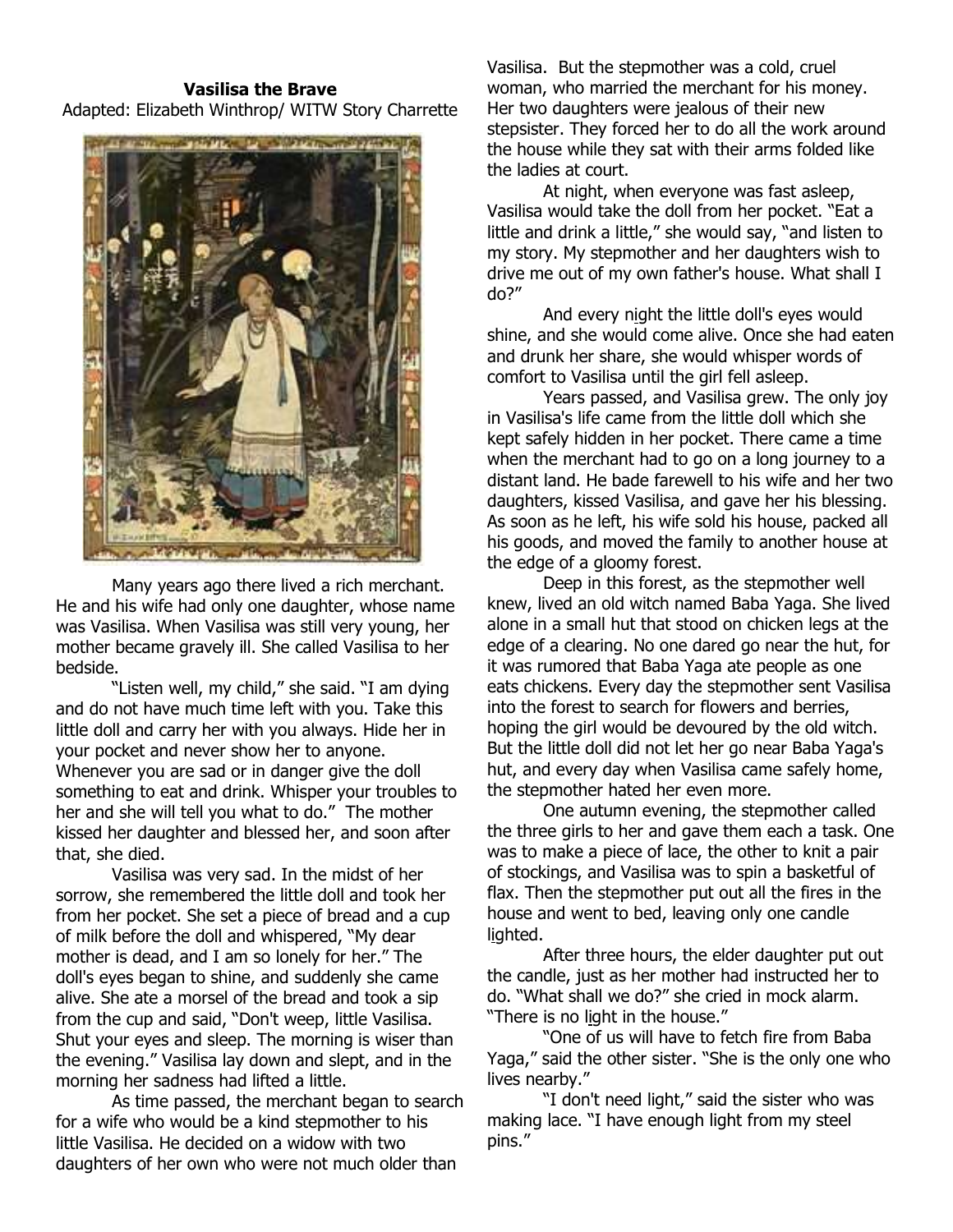## Vasilisa the Brave Adapted: Elizabeth Winthrop/ WITW Story Charrette



Many years ago there lived a rich merchant. He and his wife had only one daughter, whose name was Vasilisa. When Vasilisa was still very young, her mother became gravely ill. She called Vasilisa to her bedside.

"Listen well, my child," she said. "I am dying and do not have much time left with you. Take this little doll and carry her with you always. Hide her in your pocket and never show her to anyone. Whenever you are sad or in danger give the doll something to eat and drink. Whisper your troubles to her and she will tell you what to do." The mother kissed her daughter and blessed her, and soon after that, she died.

Vasilisa was very sad. In the midst of her sorrow, she remembered the little doll and took her from her pocket. She set a piece of bread and a cup of milk before the doll and whispered, "My dear mother is dead, and I am so lonely for her." The doll's eyes began to shine, and suddenly she came alive. She ate a morsel of the bread and took a sip from the cup and said, "Don't weep, little Vasilisa. Shut your eyes and sleep. The morning is wiser than the evening." Vasilisa lay down and slept, and in the morning her sadness had lifted a little.

As time passed, the merchant began to search for a wife who would be a kind stepmother to his little Vasilisa. He decided on a widow with two daughters of her own who were not much older than

Vasilisa. But the stepmother was a cold, cruel woman, who married the merchant for his money. Her two daughters were jealous of their new stepsister. They forced her to do all the work around the house while they sat with their arms folded like the ladies at court.

At night, when everyone was fast asleep, Vasilisa would take the doll from her pocket. "Eat a little and drink a little," she would say, "and listen to my story. My stepmother and her daughters wish to drive me out of my own father's house. What shall I do?"

And every night the little doll's eyes would shine, and she would come alive. Once she had eaten and drunk her share, she would whisper words of comfort to Vasilisa until the girl fell asleep.

Years passed, and Vasilisa grew. The only joy in Vasilisa's life came from the little doll which she kept safely hidden in her pocket. There came a time when the merchant had to go on a long journey to a distant land. He bade farewell to his wife and her two daughters, kissed Vasilisa, and gave her his blessing. As soon as he left, his wife sold his house, packed all his goods, and moved the family to another house at the edge of a gloomy forest.

Deep in this forest, as the stepmother well knew, lived an old witch named Baba Yaga. She lived alone in a small hut that stood on chicken legs at the edge of a clearing. No one dared go near the hut, for it was rumored that Baba Yaga ate people as one eats chickens. Every day the stepmother sent Vasilisa into the forest to search for flowers and berries, hoping the girl would be devoured by the old witch. But the little doll did not let her go near Baba Yaga's hut, and every day when Vasilisa came safely home, the stepmother hated her even more.

One autumn evening, the stepmother called the three girls to her and gave them each a task. One was to make a piece of lace, the other to knit a pair of stockings, and Vasilisa was to spin a basketful of flax. Then the stepmother put out all the fires in the house and went to bed, leaving only one candle lighted.

After three hours, the elder daughter put out the candle, just as her mother had instructed her to do. "What shall we do?" she cried in mock alarm. "There is no light in the house."

"One of us will have to fetch fire from Baba Yaga," said the other sister. "She is the only one who lives nearby."

"I don't need light," said the sister who was making lace. "I have enough light from my steel pins."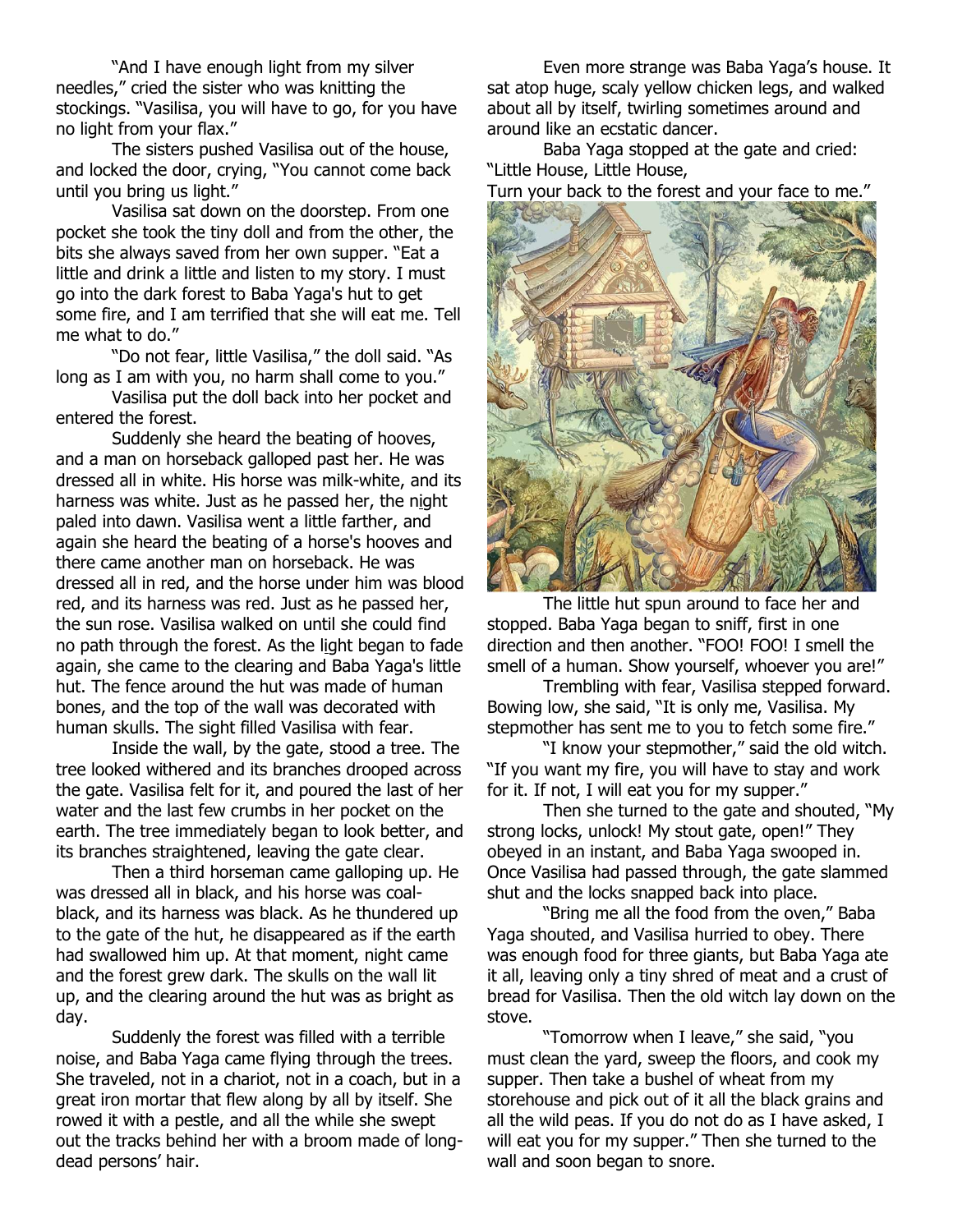"And I have enough light from my silver needles," cried the sister who was knitting the stockings. "Vasilisa, you will have to go, for you have no light from your flax."

The sisters pushed Vasilisa out of the house, and locked the door, crying, "You cannot come back until you bring us light."

Vasilisa sat down on the doorstep. From one pocket she took the tiny doll and from the other, the bits she always saved from her own supper. "Eat a little and drink a little and listen to my story. I must go into the dark forest to Baba Yaga's hut to get some fire, and I am terrified that she will eat me. Tell me what to do."

"Do not fear, little Vasilisa," the doll said. "As long as I am with you, no harm shall come to you."

Vasilisa put the doll back into her pocket and entered the forest.

Suddenly she heard the beating of hooves, and a man on horseback galloped past her. He was dressed all in white. His horse was milk-white, and its harness was white. Just as he passed her, the night paled into dawn. Vasilisa went a little farther, and again she heard the beating of a horse's hooves and there came another man on horseback. He was dressed all in red, and the horse under him was blood red, and its harness was red. Just as he passed her, the sun rose. Vasilisa walked on until she could find no path through the forest. As the light began to fade again, she came to the clearing and Baba Yaga's little hut. The fence around the hut was made of human bones, and the top of the wall was decorated with human skulls. The sight filled Vasilisa with fear.

Inside the wall, by the gate, stood a tree. The tree looked withered and its branches drooped across the gate. Vasilisa felt for it, and poured the last of her water and the last few crumbs in her pocket on the earth. The tree immediately began to look better, and its branches straightened, leaving the gate clear.

Then a third horseman came galloping up. He was dressed all in black, and his horse was coalblack, and its harness was black. As he thundered up to the gate of the hut, he disappeared as if the earth had swallowed him up. At that moment, night came and the forest grew dark. The skulls on the wall lit up, and the clearing around the hut was as bright as day.

Suddenly the forest was filled with a terrible noise, and Baba Yaga came flying through the trees. She traveled, not in a chariot, not in a coach, but in a great iron mortar that flew along by all by itself. She rowed it with a pestle, and all the while she swept out the tracks behind her with a broom made of longdead persons' hair.

Even more strange was Baba Yaga's house. It sat atop huge, scaly yellow chicken legs, and walked about all by itself, twirling sometimes around and around like an ecstatic dancer.

Baba Yaga stopped at the gate and cried: "Little House, Little House,

Turn your back to the forest and your face to me."



The little hut spun around to face her and stopped. Baba Yaga began to sniff, first in one direction and then another. "FOO! FOO! I smell the smell of a human. Show yourself, whoever you are!"

Trembling with fear, Vasilisa stepped forward. Bowing low, she said, "It is only me, Vasilisa. My stepmother has sent me to you to fetch some fire."

"I know your stepmother," said the old witch. "If you want my fire, you will have to stay and work for it. If not, I will eat you for my supper."

Then she turned to the gate and shouted, "My strong locks, unlock! My stout gate, open!" They obeyed in an instant, and Baba Yaga swooped in. Once Vasilisa had passed through, the gate slammed shut and the locks snapped back into place.

"Bring me all the food from the oven," Baba Yaga shouted, and Vasilisa hurried to obey. There was enough food for three giants, but Baba Yaga ate it all, leaving only a tiny shred of meat and a crust of bread for Vasilisa. Then the old witch lay down on the stove.

"Tomorrow when I leave," she said, "you must clean the yard, sweep the floors, and cook my supper. Then take a bushel of wheat from my storehouse and pick out of it all the black grains and all the wild peas. If you do not do as I have asked, I will eat you for my supper." Then she turned to the wall and soon began to snore.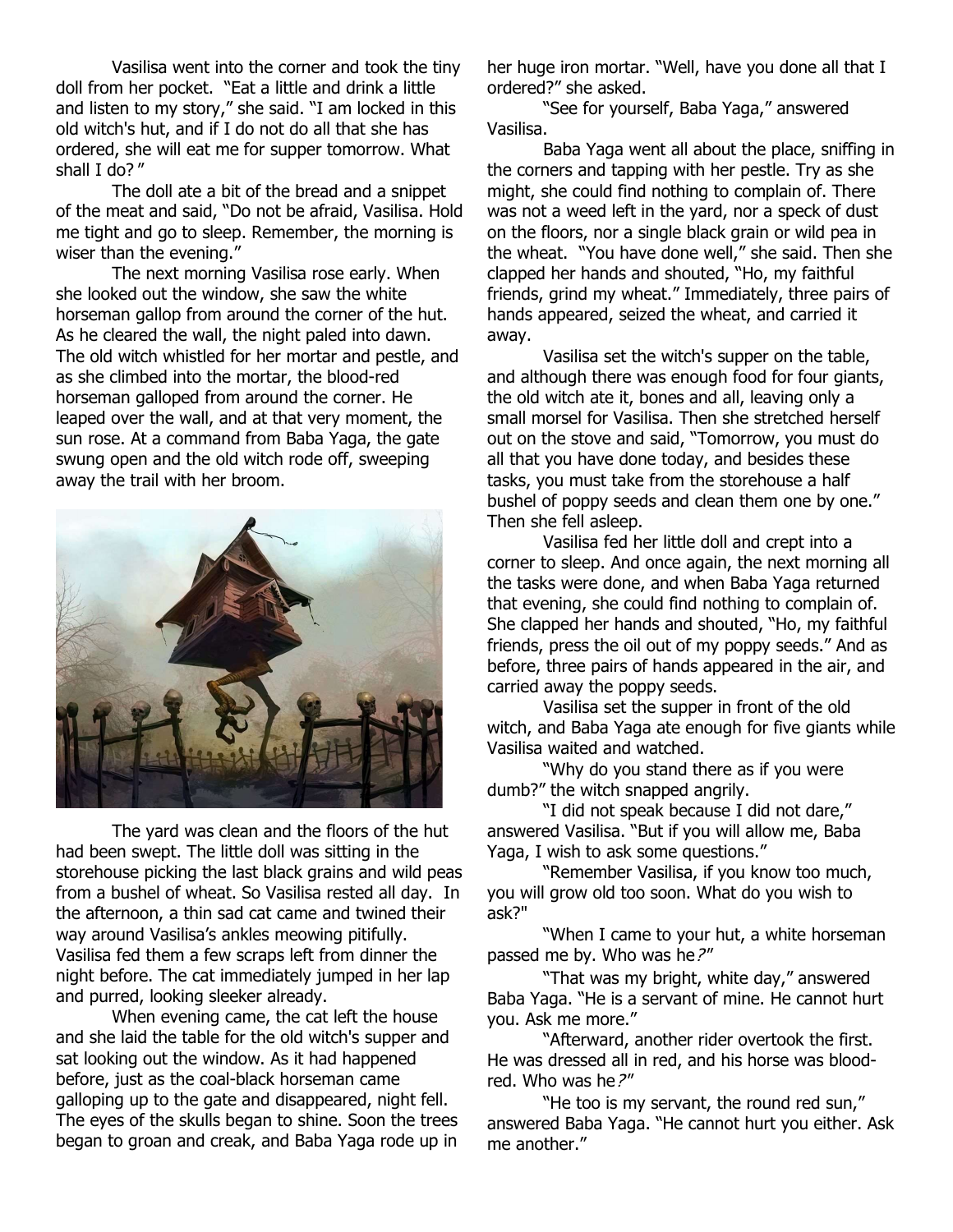Vasilisa went into the corner and took the tiny doll from her pocket. "Eat a little and drink a little and listen to my story," she said. "I am locked in this old witch's hut, and if I do not do all that she has ordered, she will eat me for supper tomorrow. What shall I do?"

The doll ate a bit of the bread and a snippet of the meat and said, "Do not be afraid, Vasilisa. Hold me tight and go to sleep. Remember, the morning is wiser than the evening."

The next morning Vasilisa rose early. When she looked out the window, she saw the white horseman gallop from around the corner of the hut. As he cleared the wall, the night paled into dawn. The old witch whistled for her mortar and pestle, and as she climbed into the mortar, the blood-red horseman galloped from around the corner. He leaped over the wall, and at that very moment, the sun rose. At a command from Baba Yaga, the gate swung open and the old witch rode off, sweeping away the trail with her broom.

![](_page_2_Picture_3.jpeg)

The yard was clean and the floors of the hut had been swept. The little doll was sitting in the storehouse picking the last black grains and wild peas from a bushel of wheat. So Vasilisa rested all day. In the afternoon, a thin sad cat came and twined their way around Vasilisa's ankles meowing pitifully. Vasilisa fed them a few scraps left from dinner the night before. The cat immediately jumped in her lap and purred, looking sleeker already.

When evening came, the cat left the house and she laid the table for the old witch's supper and sat looking out the window. As it had happened before, just as the coal-black horseman came galloping up to the gate and disappeared, night fell. The eyes of the skulls began to shine. Soon the trees began to groan and creak, and Baba Yaga rode up in her huge iron mortar. "Well, have you done all that I ordered?" she asked.

"See for yourself, Baba Yaga," answered Vasilisa.

Baba Yaga went all about the place, sniffing in the corners and tapping with her pestle. Try as she might, she could find nothing to complain of. There was not a weed left in the yard, nor a speck of dust on the floors, nor a single black grain or wild pea in the wheat. "You have done well," she said. Then she clapped her hands and shouted, "Ho, my faithful friends, grind my wheat." Immediately, three pairs of hands appeared, seized the wheat, and carried it away.

Vasilisa set the witch's supper on the table, and although there was enough food for four giants, the old witch ate it, bones and all, leaving only a small morsel for Vasilisa. Then she stretched herself out on the stove and said, "Tomorrow, you must do all that you have done today, and besides these tasks, you must take from the storehouse a half bushel of poppy seeds and clean them one by one." Then she fell asleep.

Vasilisa fed her little doll and crept into a corner to sleep. And once again, the next morning all the tasks were done, and when Baba Yaga returned that evening, she could find nothing to complain of. She clapped her hands and shouted, "Ho, my faithful friends, press the oil out of my poppy seeds." And as before, three pairs of hands appeared in the air, and carried away the poppy seeds.

Vasilisa set the supper in front of the old witch, and Baba Yaga ate enough for five giants while Vasilisa waited and watched.

"Why do you stand there as if you were dumb?" the witch snapped angrily.

"I did not speak because I did not dare," answered Vasilisa. "But if you will allow me, Baba Yaga, I wish to ask some questions."

"Remember Vasilisa, if you know too much, you will grow old too soon. What do you wish to ask?"

"When I came to your hut, a white horseman passed me by. Who was he?"

"That was my bright, white day," answered Baba Yaga. "He is a servant of mine. He cannot hurt you. Ask me more."

"Afterward, another rider overtook the first. He was dressed all in red, and his horse was bloodred. Who was he?"

"He too is my servant, the round red sun," answered Baba Yaga. "He cannot hurt you either. Ask me another."